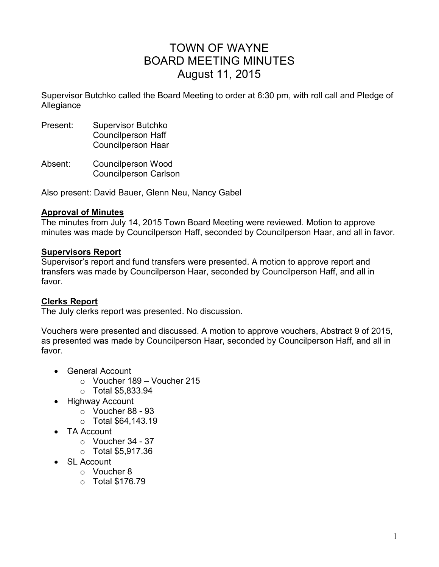# TOWN OF WAYNE BOARD MEETING MINUTES August 11, 2015

Supervisor Butchko called the Board Meeting to order at 6:30 pm, with roll call and Pledge of Allegiance

- Present: Supervisor Butchko Councilperson Haff Councilperson Haar
- Absent: Councilperson Wood Councilperson Carlson

Also present: David Bauer, Glenn Neu, Nancy Gabel

#### **Approval of Minutes**

The minutes from July 14, 2015 Town Board Meeting were reviewed. Motion to approve minutes was made by Councilperson Haff, seconded by Councilperson Haar, and all in favor.

#### **Supervisors Report**

Supervisor's report and fund transfers were presented. A motion to approve report and transfers was made by Councilperson Haar, seconded by Councilperson Haff, and all in favor.

#### **Clerks Report**

The July clerks report was presented. No discussion.

Vouchers were presented and discussed. A motion to approve vouchers, Abstract 9 of 2015, as presented was made by Councilperson Haar, seconded by Councilperson Haff, and all in favor.

- General Account
	- o Voucher 189 Voucher 215
	- o Total \$5,833.94
- Highway Account
	- o Voucher 88 93
	- o Total \$64,143.19
- TA Account
	- $\circ$  Voucher 34 37
	- o Total \$5,917.36
- SL Account
	- o Voucher 8
	- o Total \$176.79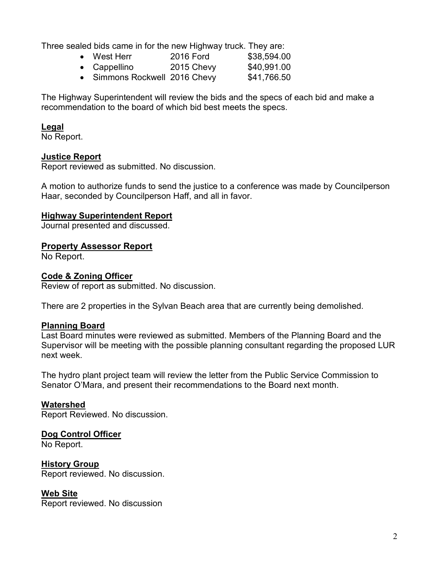Three sealed bids came in for the new Highway truck. They are:

- West Herr 2016 Ford \$38,594.00
- Cappellino  $2015$  Chevy  $$40,991.00$
- Simmons Rockwell 2016 Chevy \$41,766.50

The Highway Superintendent will review the bids and the specs of each bid and make a recommendation to the board of which bid best meets the specs.

#### **Legal**

No Report.

#### **Justice Report**

Report reviewed as submitted. No discussion.

A motion to authorize funds to send the justice to a conference was made by Councilperson Haar, seconded by Councilperson Haff, and all in favor.

#### **Highway Superintendent Report**

Journal presented and discussed.

#### **Property Assessor Report**

No Report.

#### **Code & Zoning Officer**

Review of report as submitted. No discussion.

There are 2 properties in the Sylvan Beach area that are currently being demolished.

#### **Planning Board**

Last Board minutes were reviewed as submitted. Members of the Planning Board and the Supervisor will be meeting with the possible planning consultant regarding the proposed LUR next week.

The hydro plant project team will review the letter from the Public Service Commission to Senator O'Mara, and present their recommendations to the Board next month.

#### **Watershed**

Report Reviewed. No discussion.

#### **Dog Control Officer**

No Report.

#### **History Group**

Report reviewed. No discussion.

#### **Web Site**

Report reviewed. No discussion